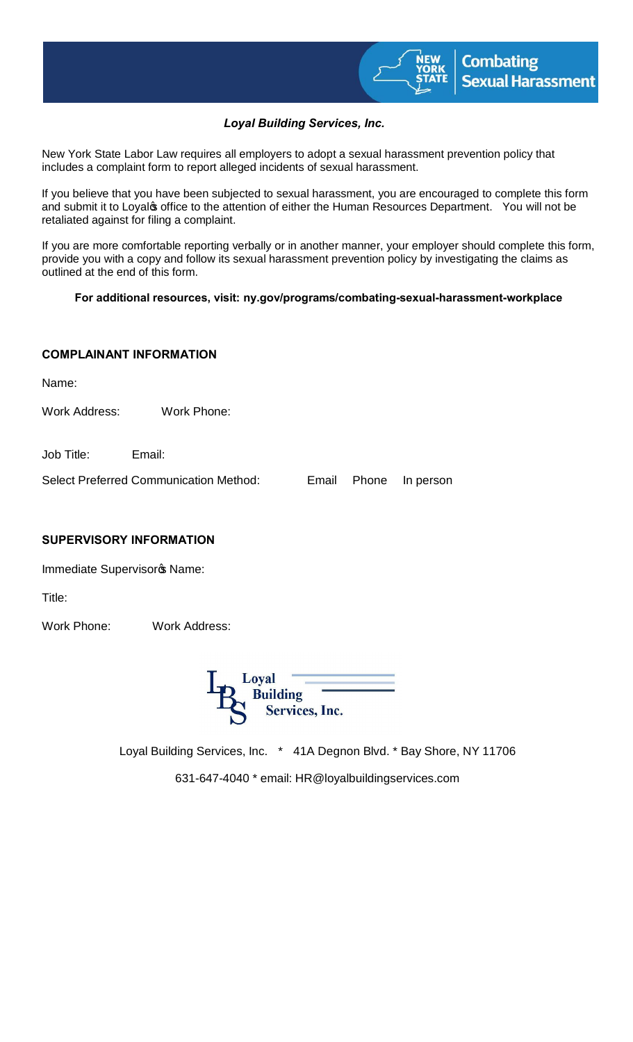

# *Loyal Building Services, Inc.*

New York State Labor Law requires all employers to adopt a sexual harassment prevention policy that includes a complaint form to report alleged incidents of sexual harassment.

If you believe that you have been subjected to sexual harassment, you are encouraged to complete this form and submit it to Loyalos office to the attention of either the Human Resources Department. You will not be retaliated against for filing a complaint.

If you are more comfortable reporting verbally or in another manner, your employer should complete this form, provide you with a copy and follow its sexual harassment prevention policy by investigating the claims as outlined at the end of this form.

#### **For additional resources, visit: ny.gov/programs/combating-sexual-harassment-workplace**

## **COMPLAINANT INFORMATION**

Name:

Work Address: Work Phone:

Job Title: Email:

Select Preferred Communication Method: Email Phone In person

#### **SUPERVISORY INFORMATION**

Immediate Supervisoro Name:

Title:

Work Phone: Work Address:



Loyal Building Services, Inc. \* 41A Degnon Blvd. \* Bay Shore, NY 11706

631-647-4040 \* email: HR@loyalbuildingservices.com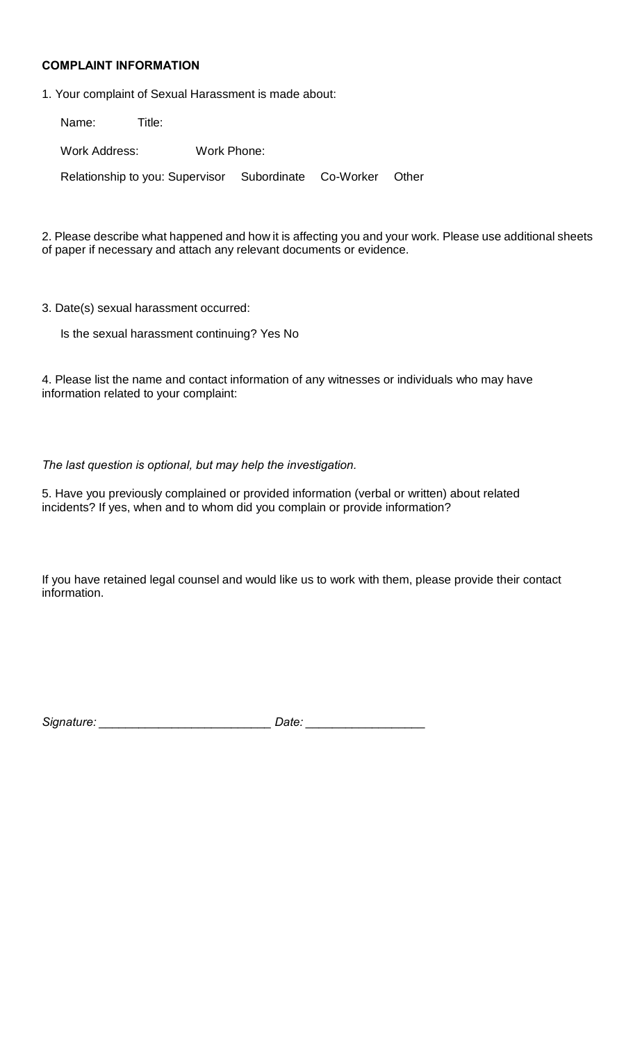#### **COMPLAINT INFORMATION**

1. Your complaint of Sexual Harassment is made about:

| Name:                                                 | Title: |             |  |       |  |
|-------------------------------------------------------|--------|-------------|--|-------|--|
| Work Address:                                         |        | Work Phone: |  |       |  |
| Relationship to you: Supervisor Subordinate Co-Worker |        |             |  | Other |  |

2. Please describe what happened and how it is affecting you and your work. Please use additional sheets of paper if necessary and attach any relevant documents or evidence.

3. Date(s) sexual harassment occurred:

Is the sexual harassment continuing? Yes No

4. Please list the name and contact information of any witnesses or individuals who may have information related to your complaint:

## *The last question is optional, but may help the investigation.*

5. Have you previously complained or provided information (verbal or written) about related incidents? If yes, when and to whom did you complain or provide information?

If you have retained legal counsel and would like us to work with them, please provide their contact information.

*Signature: \_\_\_\_\_\_\_\_\_\_\_\_\_\_\_\_\_\_\_\_\_\_\_\_\_\_ Date: \_\_\_\_\_\_\_\_\_\_\_\_\_\_\_\_\_\_*